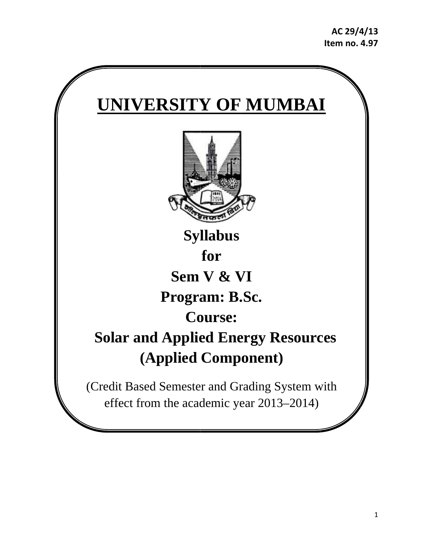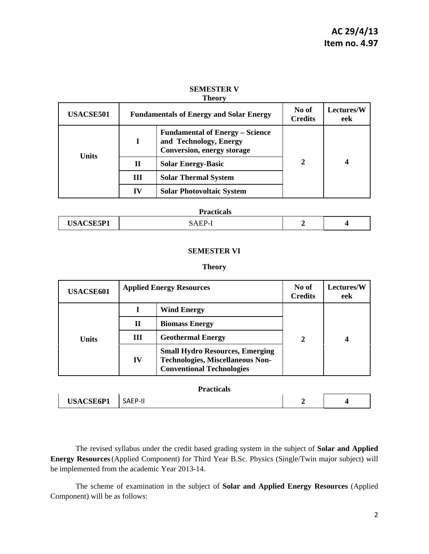| <b>USACSE501</b> | <b>Fundamentals of Energy and Solar Energy</b> |                                                                                                       | No of<br><b>Credits</b> | Lectures/W<br>eek |
|------------------|------------------------------------------------|-------------------------------------------------------------------------------------------------------|-------------------------|-------------------|
| <b>Units</b>     |                                                | <b>Fundamental of Energy – Science</b><br>and Technology, Energy<br><b>Conversion, energy storage</b> | $\mathbf{2}$            | 4                 |
|                  | $\mathbf H$                                    | <b>Solar Energy-Basic</b>                                                                             |                         |                   |
|                  | Ш                                              | <b>Solar Thermal System</b>                                                                           |                         |                   |
|                  | IV                                             | <b>Solar Photovoltaic System</b>                                                                      |                         |                   |

# **SEMESTER V**

**Theory** 

| <b>Practicals</b> |                    |  |  |
|-------------------|--------------------|--|--|
| <b>USACSE5P1</b>  | $\mathcal{A}$ EP-J |  |  |

# **SEMESTER VI**

#### **Theory**

| <b>USACSE601</b> | <b>Applied Energy Resources</b> |                                                                                                                       | No of<br><b>Credits</b> | <b>Lectures/W</b><br>eek |
|------------------|---------------------------------|-----------------------------------------------------------------------------------------------------------------------|-------------------------|--------------------------|
| Units            |                                 | <b>Wind Energy</b>                                                                                                    |                         |                          |
|                  | Н                               | <b>Biomass Energy</b>                                                                                                 |                         |                          |
|                  | Ш                               | <b>Geothermal Energy</b>                                                                                              | $\overline{2}$          |                          |
|                  | IV                              | <b>Small Hydro Resources, Emerging</b><br><b>Technologies, Miscellaneous Non-</b><br><b>Conventional Technologies</b> |                         |                          |

**Practicals** 

| ----------                           |             |  |  |  |
|--------------------------------------|-------------|--|--|--|
| <b>ISACSE6P1</b><br><b>USACSE6PI</b> | - JALI<br>. |  |  |  |

The revised syllabus under the credit based grading system in the subject of **Solar and Applied Energy Resources**(Applied Component) for Third Year B.Sc. Physics (Single/Twin major subject) will be implemented from the academic Year 2013-14.

 The scheme of examination in the subject of **Solar and Applied Energy Resources** (Applied Component) will be as follows: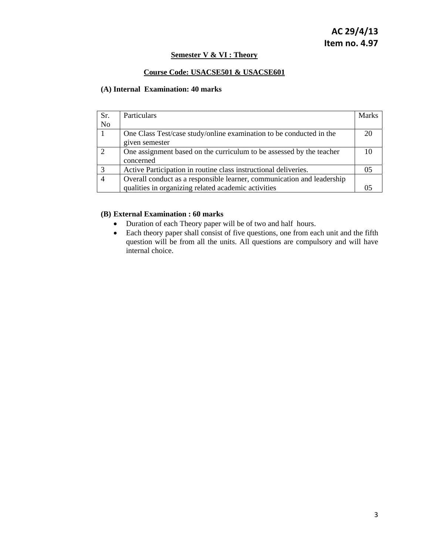### **Semester V & VI : Theory**

# **Course Code: USACSE501 & USACSE601**

# **(A) Internal Examination: 40 marks**

| Sr.            | Particulars                                                            | <b>Marks</b> |
|----------------|------------------------------------------------------------------------|--------------|
| N <sub>o</sub> |                                                                        |              |
|                | One Class Test/case study/online examination to be conducted in the    | 20           |
|                | given semester                                                         |              |
| 2              | One assignment based on the curriculum to be assessed by the teacher   |              |
|                | concerned                                                              |              |
| 3              | Active Participation in routine class instructional deliveries.        | 05           |
|                | Overall conduct as a responsible learner, communication and leadership |              |
|                | qualities in organizing related academic activities                    |              |

# **(B) External Examination : 60 marks**

- Duration of each Theory paper will be of two and half hours.
- Each theory paper shall consist of five questions, one from each unit and the fifth question will be from all the units. All questions are compulsory and will have internal choice.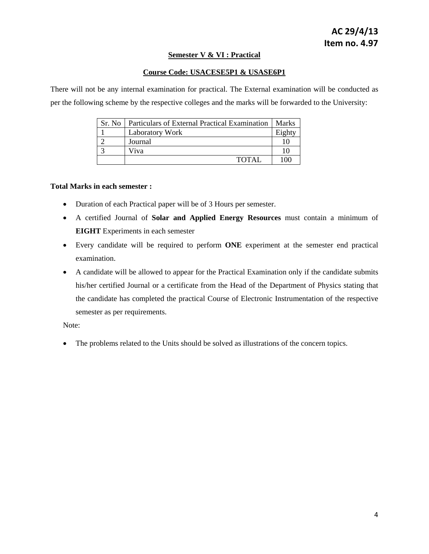# **Semester V & VI : Practical**

# **Course Code: USACESE5P1 & USASE6P1**

There will not be any internal examination for practical. The External examination will be conducted as per the following scheme by the respective colleges and the marks will be forwarded to the University:

| Sr. No. | Particulars of External Practical Examination | Marks  |
|---------|-----------------------------------------------|--------|
|         | <b>Laboratory Work</b>                        | Eighty |
|         | Journal                                       |        |
|         | Viva                                          |        |
|         | <b>TOTAL</b>                                  | 100    |

### **Total Marks in each semester :**

- Duration of each Practical paper will be of 3 Hours per semester.
- A certified Journal of **Solar and Applied Energy Resources** must contain a minimum of **EIGHT** Experiments in each semester
- Every candidate will be required to perform **ONE** experiment at the semester end practical examination.
- A candidate will be allowed to appear for the Practical Examination only if the candidate submits his/her certified Journal or a certificate from the Head of the Department of Physics stating that the candidate has completed the practical Course of Electronic Instrumentation of the respective semester as per requirements.

Note:

• The problems related to the Units should be solved as illustrations of the concern topics.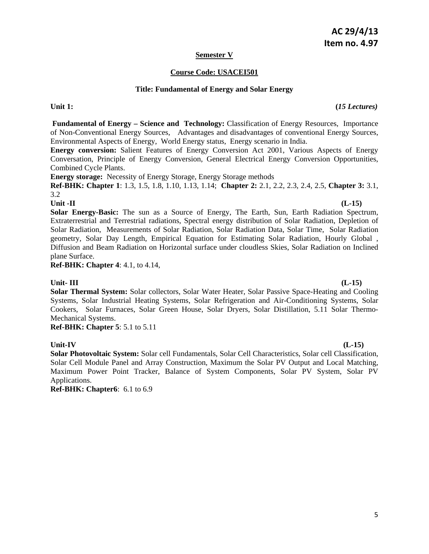# **AC 29/4/13 Item no. 4.97**

# **Semester V**

# **Course Code: USACEI501**

# **Title: Fundamental of Energy and Solar Energy**

Unit 1: (*15 Lectures*)

 **Fundamental of Energy – Science and Technology:** Classification of Energy Resources, Importance of Non-Conventional Energy Sources, Advantages and disadvantages of conventional Energy Sources, Environmental Aspects of Energy, World Energy status, Energy scenario in India.

**Energy conversion:** Salient Features of Energy Conversion Act 2001, Various Aspects of Energy Conversation, Principle of Energy Conversion, General Electrical Energy Conversion Opportunities, Combined Cycle Plants.

**Energy storage:** Necessity of Energy Storage, Energy Storage methods

**Ref-BHK: Chapter 1**: 1.3, 1.5, 1.8, 1.10, 1.13, 1.14; **Chapter 2:** 2.1, 2.2, 2.3, 2.4, 2.5, **Chapter 3:** 3.1, 3.2

**Unit -II (L-15) Solar Energy-Basic:** The sun as a Source of Energy, The Earth, Sun, Earth Radiation Spectrum, Extraterrestrial and Terrestrial radiations, Spectral energy distribution of Solar Radiation, Depletion of Solar Radiation, Measurements of Solar Radiation, Solar Radiation Data, Solar Time, Solar Radiation geometry, Solar Day Length, Empirical Equation for Estimating Solar Radiation, Hourly Global , Diffusion and Beam Radiation on Horizontal surface under cloudless Skies, Solar Radiation on Inclined plane Surface.

**Ref-BHK: Chapter 4**: 4.1, to 4.14,

# Unit- III (L-15)

**Solar Thermal System:** Solar collectors, Solar Water Heater, Solar Passive Space-Heating and Cooling Systems, Solar Industrial Heating Systems, Solar Refrigeration and Air-Conditioning Systems, Solar Cookers, Solar Furnaces, Solar Green House, Solar Dryers, Solar Distillation, 5.11 Solar Thermo-Mechanical Systems.

**Ref-BHK: Chapter 5**: 5.1 to 5.11

**Unit-IV (L-15) Solar Photovoltaic System:** Solar cell Fundamentals, Solar Cell Characteristics, Solar cell Classification, Solar Cell Module Panel and Array Construction, Maximum the Solar PV Output and Local Matching, Maximum Power Point Tracker, Balance of System Components, Solar PV System, Solar PV Applications.

**Ref-BHK: Chapter6**: 6.1 to 6.9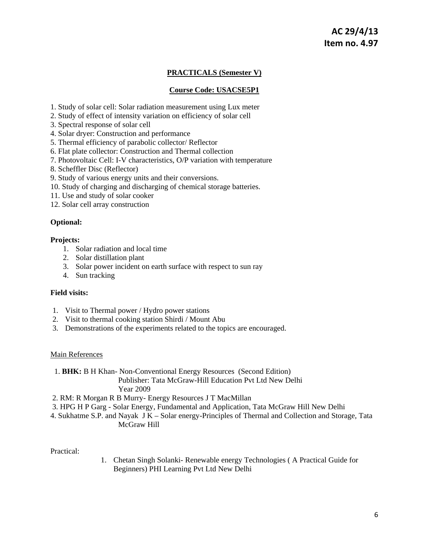# **PRACTICALS (Semester V)**

### **Course Code: USACSE5P1**

- 1. Study of solar cell: Solar radiation measurement using Lux meter
- 2. Study of effect of intensity variation on efficiency of solar cell
- 3. Spectral response of solar cell
- 4. Solar dryer: Construction and performance
- 5. Thermal efficiency of parabolic collector/ Reflector
- 6. Flat plate collector: Construction and Thermal collection
- 7. Photovoltaic Cell: I-V characteristics, O/P variation with temperature
- 8. Scheffler Disc (Reflector)
- 9. Study of various energy units and their conversions.
- 10. Study of charging and discharging of chemical storage batteries.
- 11. Use and study of solar cooker
- 12. Solar cell array construction

### **Optional:**

#### **Projects:**

- 1. Solar radiation and local time
- 2. Solar distillation plant
- 3. Solar power incident on earth surface with respect to sun ray
- 4. Sun tracking

### **Field visits:**

- 1. Visit to Thermal power / Hydro power stations
- 2. Visit to thermal cooking station Shirdi / Mount Abu
- 3. Demonstrations of the experiments related to the topics are encouraged.

#### Main References

- 1. **BHK:** B H Khan- Non-Conventional Energy Resources (Second Edition) Publisher: Tata McGraw-Hill Education Pvt Ltd New Delhi Year 2009
- 2. RM: R Morgan R B Murry- Energy Resources J T MacMillan
- 3. HPG H P Garg Solar Energy, Fundamental and Application, Tata McGraw Hill New Delhi
- 4. Sukhatme S.P. and Nayak J K Solar energy-Principles of Thermal and Collection and Storage, Tata McGraw Hill

Practical:

1. Chetan Singh Solanki- Renewable energy Technologies ( A Practical Guide for Beginners) PHI Learning Pvt Ltd New Delhi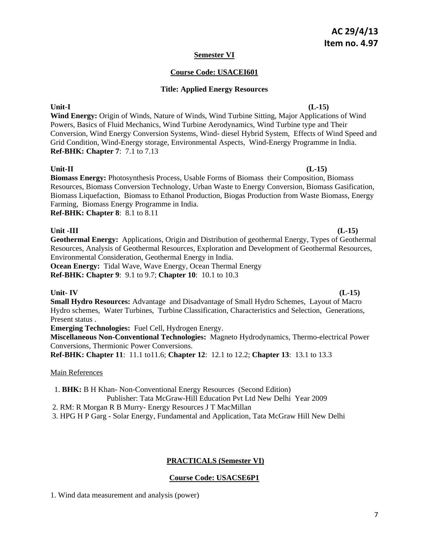# **Semester VI**

# **Course Code: USACEI601**

# **Title: Applied Energy Resources**

Unit-I (L-15) **Wind Energy:** Origin of Winds, Nature of Winds, Wind Turbine Sitting, Major Applications of Wind Powers, Basics of Fluid Mechanics, Wind Turbine Aerodynamics, Wind Turbine type and Their Conversion, Wind Energy Conversion Systems, Wind- diesel Hybrid System, Effects of Wind Speed and Grid Condition, Wind-Energy storage, Environmental Aspects, Wind-Energy Programme in India. **Ref-BHK: Chapter 7**: 7.1 to 7.13

# Unit-II (L-15)

**Biomass Energy:** Photosynthesis Process, Usable Forms of Biomass their Composition, Biomass Resources, Biomass Conversion Technology, Urban Waste to Energy Conversion, Biomass Gasification, Biomass Liquefaction, Biomass to Ethanol Production, Biogas Production from Waste Biomass, Energy Farming, Biomass Energy Programme in India.

**Ref-BHK: Chapter 8**: 8.1 to 8.11

# Unit -III (L-15)

**Geothermal Energy:** Applications, Origin and Distribution of geothermal Energy, Types of Geothermal Resources, Analysis of Geothermal Resources, Exploration and Development of Geothermal Resources, Environmental Consideration, Geothermal Energy in India. **Ocean Energy:** Tidal Wave, Wave Energy, Ocean Thermal Energy

**Ref-BHK: Chapter 9**: 9.1 to 9.7; **Chapter 10**: 10.1 to 10.3

### Unit- IV (L-15)

**Small Hydro Resources:** Advantage and Disadvantage of Small Hydro Schemes, Layout of Macro Hydro schemes, Water Turbines, Turbine Classification, Characteristics and Selection, Generations, Present status .

**Emerging Technologies:** Fuel Cell, Hydrogen Energy.

**Miscellaneous Non-Conventional Technologies:** Magneto Hydrodynamics, Thermo-electrical Power Conversions, Thermionic Power Conversions.

**Ref-BHK: Chapter 11**: 11.1 to11.6; **Chapter 12**: 12.1 to 12.2; **Chapter 13**: 13.1 to 13.3

### Main References

 1. **BHK:** B H Khan- Non-Conventional Energy Resources (Second Edition) Publisher: Tata McGraw-Hill Education Pvt Ltd New Delhi Year 2009

2. RM: R Morgan R B Murry- Energy Resources J T MacMillan

3. HPG H P Garg - Solar Energy, Fundamental and Application, Tata McGraw Hill New Delhi

# **PRACTICALS (Semester VI)**

# **Course Code: USACSE6P1**

1. Wind data measurement and analysis (power)